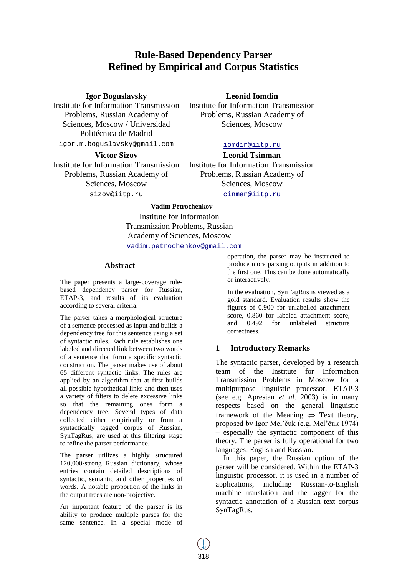# **Rule-Based Dependency Parser Refined by Empirical and Corpus Statistics**

#### **Igor Boguslavsky**

Institute for Information Transmission Problems, Russian Academy of Sciences, Moscow / Universidad Politécnica de Madrid igor.m.boguslavsky@gmail.com

#### **Victor Sizov**

Institute for Information Transmission Problems, Russian Academy of Sciences, Moscow

sizov@iitp.ru

## **Leonid Iomdin**

Institute for Information Transmission Problems, Russian Academy of Sciences, Moscow

#### iomdin@iitp.ru

## **Leonid Tsinman**

Institute for Information Transmission Problems, Russian Academy of Sciences, Moscow cinman@iitp.ru

**Vadim Petrochenkov**

Institute for Information Transmission Problems, Russian Academy of Sciences, Moscow

vadim.petrochenkov@gmail.com

## **Abstract**

The paper presents a large-coverage rulebased dependency parser for Russian, ETAP-3, and results of its evaluation according to several criteria.

The parser takes a morphological structure of a sentence processed as input and builds a dependency tree for this sentence using a set of syntactic rules. Each rule establishes one labeled and directed link between two words of a sentence that form a specific syntactic construction. The parser makes use of about 65 different syntactic links. The rules are applied by an algorithm that at first builds all possible hypothetical links and then uses a variety of filters to delete excessive links so that the remaining ones form a dependency tree. Several types of data collected either empirically or from a syntactically tagged corpus of Russian, SynTagRus, are used at this filtering stage to refine the parser performance.

The parser utilizes a highly structured 120,000-strong Russian dictionary, whose entries contain detailed descriptions of syntactic, semantic and other properties of words. A notable proportion of the links in the output trees are non-projective.

An important feature of the parser is its ability to produce multiple parses for the same sentence. In a special mode of

operation, the parser may be instructed to produce more parsing outputs in addition to the first one. This can be done automatically or interactively.

In the evaluation, SynTagRus is viewed as a gold standard. Evaluation results show the figures of 0.900 for unlabelled attachment score, 0.860 for labeled attachment score, and 0.492 for unlabeled structure correctness.

# **1 Introductory Remarks**

The syntactic parser, developed by a research team of the Institute for Information Transmission Problems in Moscow for a multipurpose linguistic processor, ETAP-3 (see e.g. Apresjan *et al*. 2003) is in many respects based on the general linguistic framework of the Meaning  $\Leftrightarrow$  Text theory, proposed by Igor Mel'čuk (e.g. Mel'čuk 1974) – especially the syntactic component of this theory. The parser is fully operational for two languages: English and Russian.

In this paper, the Russian option of the parser will be considered. Within the ETAP-3 linguistic processor, it is used in a number of applications, including Russian-to-English machine translation and the tagger for the syntactic annotation of a Russian text corpus SynTagRus.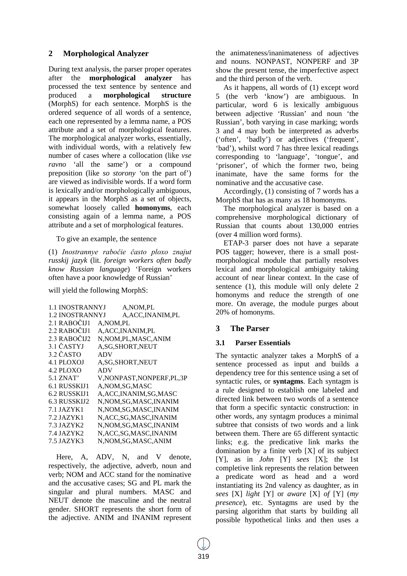## **2 Morphological Analyzer**

During text analysis, the parser proper operates after the **morphological analyzer** has processed the text sentence by sentence and produced a **morphological structure** (MorphS) for each sentence. MorphS is the ordered sequence of all words of a sentence, each one represented by a lemma name, a POS attribute and a set of morphological features. The morphological analyzer works, essentially, with individual words, with a relatively few number of cases where a collocation (like *vse ravno* 'all the same') or a compound preposition (like *so storony '*on the part of') are viewed as indivisible words. If a word form is lexically and/or morphologically ambiguous, it appears in the MorphS as a set of objects, somewhat loosely called **homonyms**, each consisting again of a lemma name, a POS attribute and a set of morphological features.

To give an example, the sentence

(1) *Inostrannye rabočie často ploxo znajut russkij jazyk* (lit. *foreign workers often badly know Russian language*) 'Foreign workers often have a poor knowledge of Russian'

will yield the following MorphS:

| <b>1.1 INOSTRANNYJ</b> | A, NOM, PL                  |
|------------------------|-----------------------------|
| 1.2 INOSTRANNYJ        | A, ACC, INANIM, PL          |
| 2.1 RABOČIJ1           | A, NOM, PL                  |
| 2.2 RABOČIJ1           | A, ACC, INANIM, PL          |
| 2.3 RABOČIJ2           | N, NOM, PL, MASC, ANIM      |
| 3.1 ČASTYJ             | A,SG,SHORT,NEUT             |
| 3.2 ČASTO              | <b>ADV</b>                  |
| 4.1 PLOXOJ             | A,SG,SHORT,NEUT             |
| <b>4.2 PLOXO</b>       | <b>ADV</b>                  |
| 5.1 ZNAT'              | V, NONPAST, NONPERF, PL, 3P |
| 6.1 RUSSKIJ1           | A, NOM, SG, MASC            |
| 6.2 RUSSKIJ1           | A, ACC, INANIM, SG, MASC    |
| 6.3 RUSSKIJ2           | N,NOM,SG,MASC,INANIM        |
| 7.1 JAZYK1             | N,NOM,SG,MASC,INANIM        |
| 7.2 JAZYK1             | N, ACC, SG, MASC, INANIM    |
| 7.3 JAZYK2             | N, NOM, SG, MASC, INANIM    |
| 7.4 JAZYK2             | N, ACC, SG, MASC, INANIM    |
| 7.5 JAZYK3             | N, NOM, SG, MASC, ANIM      |

Here, A, ADV, N, and V denote, respectively, the adjective, adverb, noun and verb; NOM and ACC stand for the nominative and the accusative cases; SG and PL mark the singular and plural numbers. MASC and NEUT denote the masculine and the neutral gender. SHORT represents the short form of the adjective. ANIM and INANIM represent the animateness/inanimateness of adjectives and nouns. NONPAST, NONPERF and 3P show the present tense, the imperfective aspect and the third person of the verb.

As it happens, all words of (1) except word 5 (the verb 'know') are ambiguous. In particular, word 6 is lexically ambiguous between adjective 'Russian' and noun 'the Russian', both varying in case marking; words 3 and 4 may both be interpreted as adverbs ('often', 'badly') or adjectives ('frequent', 'bad'), whilst word 7 has three lexical readings corresponding to 'language', 'tongue', and 'prisoner', of which the former two, being inanimate, have the same forms for the nominative and the accusative case.

Accordingly, (1) consisting of 7 words has a MorphS that has as many as 18 homonyms.

The morphological analyzer is based on a comprehensive morphological dictionary of Russian that counts about 130,000 entries (over 4 million word forms).

ETAP-3 parser does not have a separate POS tagger; however, there is a small postmorphological module that partially resolves lexical and morphological ambiguity taking account of near linear context. In the case of sentence (1), this module will only delete 2 homonyms and reduce the strength of one more. On average, the module purges about 20% of homonyms.

## **3 The Parser**

## **3.1 Parser Essentials**

The syntactic analyzer takes a MorphS of a sentence processed as input and builds a dependency tree for this sentence using a set of syntactic rules, or **syntagms**. Each syntagm is a rule designed to establish one labeled and directed link between two words of a sentence that form a specific syntactic construction: in other words, any syntagm produces a minimal subtree that consists of two words and a link between them. There are 65 different syntactic links; e.g. the predicative link marks the domination by a finite verb [X] of its subject [Y], as in *John* [Y] *sees* [X]; the 1st completive link represents the relation between a predicate word as head and a word instantiating its 2nd valency as daughter, as in *sees* [X] *light* [Y] or *aware* [X] *of* [Y] (*my presence*), etc. Syntagms are used by the parsing algorithm that starts by building all possible hypothetical links and then uses a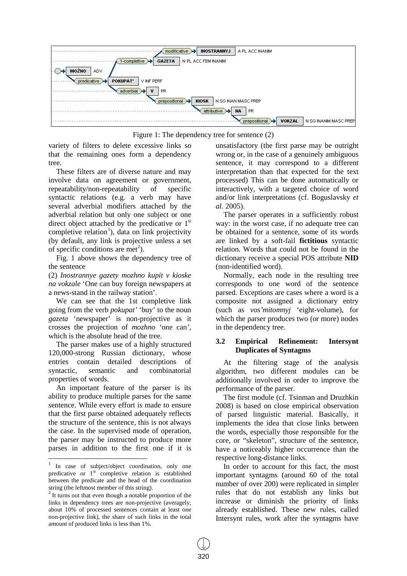

#### Figure 1: The dependency tree for sentence (2)

variety of filters to delete excessive links so that the remaining ones form a dependency tree.

These filters are of diverse nature and may involve data on agreement or government, repeatability/non-repeatability of specific syntactic relations (e.g. a verb may have several adverbial modifiers attached by the adverbial relation but only one subject or one direct object attached by the predicative or  $1<sup>st</sup>$ completive relation<sup>1</sup>), data on link projectivity (by default, any link is projective unless a set of specific conditions are met<sup>2</sup>).

Fig. 1 above shows the dependency tree of the sentence

(2) *Inostrannye gazety mozhno kupit v kioske na vokzale* 'One can buy foreign newspapers at a news-stand in the railway station'.

We can see that the 1st completive link going from the verb *pokupat'* 'buy' to the noun *gazeta* 'newspaper' is non-projective as it crosses the projection of *mozhno '*one can*'*, which is the absolute head of the tree.

The parser makes use of a highly structured 120,000-strong Russian dictionary, whose entries contain detailed descriptions of syntactic, semantic and combinatorial properties of words.

An important feature of the parser is its ability to produce multiple parses for the same sentence. While every effort is made to ensure that the first parse obtained adequately reflects the structure of the sentence, this is not always the case. In the supervised mode of operation, the parser may be instructed to produce more parses in addition to the first one if it is unsatisfactory (the first parse may be outright wrong or, in the case of a genuinely ambiguous sentence, it may correspond to a different interpretation than that expected for the text processed) This can be done automatically or interactively, with a targeted choice of word and/or link interpretations (cf. Boguslavsky *et al.* 2005).

The parser operates in a sufficiently robust way: in the worst case, if no adequate tree can be obtained for a sentence, some of its words are linked by a soft-fail **fictitious** syntactic relation. Words that could not be found in the dictionary receive a special POS attribute **NID** (non-identified word).

Normally, each node in the resulting tree corresponds to one word of the sentence parsed. Exceptions are cases where a word is a composite not assigned a dictionary entry (such as *vos'mitomnyj* 'eight-volume), for which the parser produces two (or more) nodes in the dependency tree.

#### **3.2 Empirical Refinement: Intersynt Duplicates of Syntagms**

At the filtering stage of the analysis algorithm, two different modules can be additionally involved in order to improve the performance of the parser.

The first module (cf. Tsinman and Druzhkin 2008) is based on close empirical observation of parsed linguistic material. Basically, it implements the idea that close links between the words, especially those responsible for the core, or "skeleton", structure of the sentence, have a noticeably higher occurrence than the respective long-distance links.

In order to account for this fact, the most important syntagms (around 60 of the total number of over 200) were replicated in simpler rules that do not establish any links but increase or diminish the priority of links already established. These new rules, called Intersynt rules, work after the syntagms have

<sup>&</sup>lt;sup>1</sup> In case of subject/object coordination, only one predicative or  $1<sup>st</sup>$  completive relation is established between the predicate and the head of the coordination string (the leftmost member of this string).

It turns out that even though a notable proportion of the links in dependency trees are non-projective (averagely, about 10% of processed sentences contain at least one non-projective link), the share of such links in the total amount of produced links is less than 1%.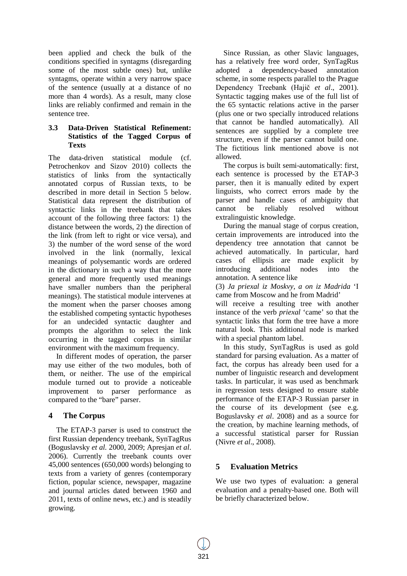been applied and check the bulk of the conditions specified in syntagms (disregarding some of the most subtle ones) but, unlike syntagms, operate within a very narrow space of the sentence (usually at a distance of no more than 4 words). As a result, many close links are reliably confirmed and remain in the sentence tree.

## **3.3 Data-Driven Statistical Refinement: Statistics of the Tagged Corpus of Texts**

The data-driven statistical module (cf. Petrochenkov and Sizov 2010) collects the statistics of links from the syntactically annotated corpus of Russian texts, to be described in more detail in Section 5 below. Statistical data represent the distribution of syntactic links in the treebank that takes account of the following three factors: 1) the distance between the words, 2) the direction of the link (from left to right or vice versa), and 3) the number of the word sense of the word involved in the link (normally, lexical meanings of polysemantic words are ordered in the dictionary in such a way that the more general and more frequently used meanings have smaller numbers than the peripheral meanings). The statistical module intervenes at the moment when the parser chooses among the established competing syntactic hypotheses for an undecided syntactic daughter and prompts the algorithm to select the link occurring in the tagged corpus in similar environment with the maximum frequency.

In different modes of operation, the parser may use either of the two modules, both of them, or neither. The use of the empirical module turned out to provide a noticeable improvement to parser performance as compared to the "bare" parser.

## **4 The Corpus**

The ETAP-3 parser is used to construct the first Russian dependency treebank, SynTagRus (Boguslavsky *et al.* 2000, 2009; Apresjan *et al*. 2006). Currently the treebank counts over 45,000 sentences (650,000 words) belonging to texts from a variety of genres (contemporary fiction, popular science, newspaper, magazine and journal articles dated between 1960 and 2011, texts of online news, etc.) and is steadily growing.

Since Russian, as other Slavic languages, has a relatively free word order, SynTagRus adopted a dependency-based annotation scheme, in some respects parallel to the Prague Dependency Treebank (Hajič *et al*., 2001). Syntactic tagging makes use of the full list of the 65 syntactic relations active in the parser (plus one or two specially introduced relations that cannot be handled automatically). All sentences are supplied by a complete tree structure, even if the parser cannot build one. The fictitious link mentioned above is not allowed.

The corpus is built semi-automatically: first, each sentence is processed by the ETAP-3 parser, then it is manually edited by expert linguists, who correct errors made by the parser and handle cases of ambiguity that cannot be reliably resolved without extralinguistic knowledge.

During the manual stage of corpus creation, certain improvements are introduced into the dependency tree annotation that cannot be achieved automatically. In particular, hard cases of ellipsis are made explicit by introducing additional nodes into the annotation. A sentence like

(3) *Ja priexal iz Moskvy, a on iz Madrida* 'I came from Moscow and he from Madrid'

will receive a resulting tree with another instance of the verb *priexal* 'came' so that the syntactic links that form the tree have a more natural look. This additional node is marked with a special phantom label.

In this study, SynTagRus is used as gold standard for parsing evaluation. As a matter of fact, the corpus has already been used for a number of linguistic research and development tasks. In particular, it was used as benchmark in regression tests designed to ensure stable performance of the ETAP-3 Russian parser in the course of its development (see e.g. Boguslavsky *et al*. 2008) and as a source for the creation, by machine learning methods, of a successful statistical parser for Russian (Nivre *et al*., 2008).

# **5 Evaluation Metrics**

We use two types of evaluation: a general evaluation and a penalty-based one. Both will be briefly characterized below.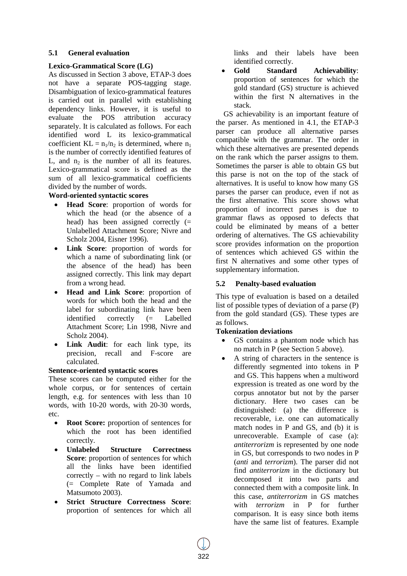## **5.1 General evaluation**

#### **Lexico-Grammatical Score (LG)**

As discussed in Section 3 above, ETAP-3 does not have a separate POS-tagging stage. Disambiguation of lexico-grammatical features is carried out in parallel with establishing dependency links. However, it is useful to evaluate the POS attribution accuracy separately. It is calculated as follows. For each identified word L its lexico-grammatical coefficient  $KL = n_1/n_2$  is determined, where  $n_1$ is the number of correctly identified features of L, and  $n_2$  is the number of all its features. Lexico-grammatical score is defined as the sum of all lexico-grammatical coefficients divided by the number of words.

## **Word-oriented syntactic scores**

- **Head Score**: proportion of words for which the head (or the absence of a head) has been assigned correctly  $(=$ Unlabelled Attachment Score; Nivre and Scholz 2004, Eisner 1996).
- Link Score: proportion of words for which a name of subordinating link (or the absence of the head) has been assigned correctly. This link may depart from a wrong head.
- **Head and Link Score:** proportion of words for which both the head and the label for subordinating link have been identified correctly (= Labelled Attachment Score; Lin 1998, Nivre and Scholz 2004).
- Link Audit: for each link type, its precision, recall and F-score are calculated.

#### **Sentence-oriented syntactic scores**

These scores can be computed either for the whole corpus, or for sentences of certain length, e.g. for sentences with less than 10 words, with 10-20 words, with 20-30 words, etc.

- **Root Score:** proportion of sentences for which the root has been identified correctly.
- **Unlabeled Structure Correctness Score**: proportion of sentences for which all the links have been identified correctly – with no regard to link labels (= Complete Rate of Yamada and Matsumoto 2003).
- **Strict Structure Correctness Score**: proportion of sentences for which all

links and their labels have been identified correctly.

• **Gold Standard Achievability**: proportion of sentences for which the gold standard (GS) structure is achieved within the first N alternatives in the stack.

GS achievability is an important feature of the parser. As mentioned in 4.1, the ETAP-3 parser can produce all alternative parses compatible with the grammar. The order in which these alternatives are presented depends on the rank which the parser assigns to them. Sometimes the parser is able to obtain GS but this parse is not on the top of the stack of alternatives. It is useful to know how many GS parses the parser can produce, even if not as the first alternative. This score shows what proportion of incorrect parses is due to grammar flaws as opposed to defects that could be eliminated by means of a better ordering of alternatives. The GS achievability score provides information on the proportion of sentences which achieved GS within the first N alternatives and some other types of supplementary information.

## **5.2 Penalty-based evaluation**

This type of evaluation is based on a detailed list of possible types of deviation of a parse (P) from the gold standard (GS). These types are as follows.

## **Tokenization deviations**

- GS contains a phantom node which has no match in P (see Section 5 above).
- A string of characters in the sentence is differently segmented into tokens in P and GS. This happens when a multiword expression is treated as one word by the corpus annotator but not by the parser dictionary. Here two cases can be distinguished: (a) the difference is recoverable, i.e. one can automatically match nodes in P and GS, and (b) it is unrecoverable. Example of case (a): *antiterrorizm* is represented by one node in GS, but corresponds to two nodes in P (*anti* and *terrorizm*). The parser did not find *antiterrorizm* in the dictionary but decomposed it into two parts and connected them with a composite link. In this case, *antiterrorizm* in GS matches with *terrorizm* in P for further comparison. It is easy since both items have the same list of features. Example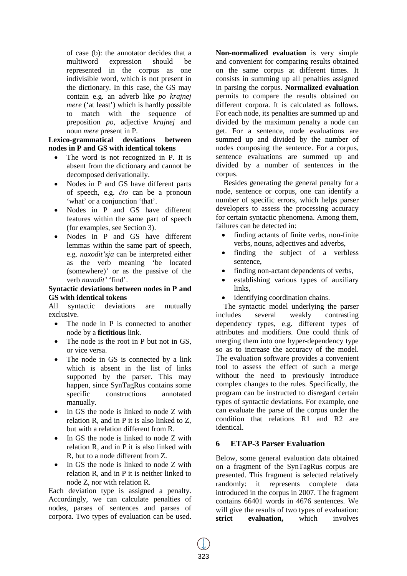of case (b): the annotator decides that a multiword expression should be represented in the corpus as one indivisible word, which is not present in the dictionary. In this case, the GS may contain e.g. an adverb like *po krajnej mere* ('at least') which is hardly possible to match with the sequence of preposition *po,* adjective *krajnej* and noun *mere* present in P.

**Lexico-grammatical deviations between nodes in P and GS with identical tokens**

- The word is not recognized in P. It is absent from the dictionary and cannot be decomposed derivationally.
- Nodes in P and GS have different parts of speech, e.g. *čto* can be a pronoun 'what' or a conjunction 'that'.
- Nodes in P and GS have different features within the same part of speech (for examples, see Section 3).
- Nodes in P and GS have different lemmas within the same part of speech, e.g. *naxodit'sja* can be interpreted either as the verb meaning 'be located (somewhere)' or as the passive of the verb *naxodit'* 'find'.

#### **Syntactic deviations between nodes in P and GS with identical tokens**

All syntactic deviations are mutually exclusive.

- The node in P is connected to another node by a **fictitious** link.
- The node is the root in P but not in GS, or vice versa.
- The node in GS is connected by a link which is absent in the list of links supported by the parser. This may happen, since SynTagRus contains some specific constructions annotated manually.
- In GS the node is linked to node Z with relation R, and in P it is also linked to Z, but with a relation different from R.
- In GS the node is linked to node Z with relation R, and in P it is also linked with R, but to a node different from Z.
- In GS the node is linked to node Z with relation R, and in P it is neither linked to node Z, nor with relation R.

Each deviation type is assigned a penalty. Accordingly, we can calculate penalties of nodes, parses of sentences and parses of corpora. Two types of evaluation can be used.

**Non-normalized evaluation** is very simple and convenient for comparing results obtained on the same corpus at different times. It consists in summing up all penalties assigned in parsing the corpus. **Normalized evaluation** permits to compare the results obtained on different corpora. It is calculated as follows. For each node, its penalties are summed up and divided by the maximum penalty a node can get. For a sentence, node evaluations are summed up and divided by the number of nodes composing the sentence. For a corpus, sentence evaluations are summed up and divided by a number of sentences in the corpus.

Besides generating the general penalty for a node, sentence or corpus, one can identify a number of specific errors, which helps parser developers to assess the processing accuracy for certain syntactic phenomena. Among them, failures can be detected in:

- finding actants of finite verbs, non-finite verbs, nouns, adjectives and adverbs,
- finding the subject of a verbless sentence,
- finding non-actant dependents of verbs,
- establishing various types of auxiliary links,
- identifying coordination chains.

The syntactic model underlying the parser includes several weakly contrasting dependency types, e.g. different types of attributes and modifiers. One could think of merging them into one hyper-dependency type so as to increase the accuracy of the model. The evaluation software provides a convenient tool to assess the effect of such a merge without the need to previously introduce complex changes to the rules. Specifically, the program can be instructed to disregard certain types of syntactic deviations. For example, one can evaluate the parse of the corpus under the condition that relations R1 and R2 are identical.

## **6 ETAP-3 Parser Evaluation**

Below, some general evaluation data obtained on a fragment of the SynTagRus corpus are presented. This fragment is selected relatively randomly: it represents complete data introduced in the corpus in 2007. The fragment contains 66401 words in 4676 sentences. We will give the results of two types of evaluation: **strict evaluation**, which involves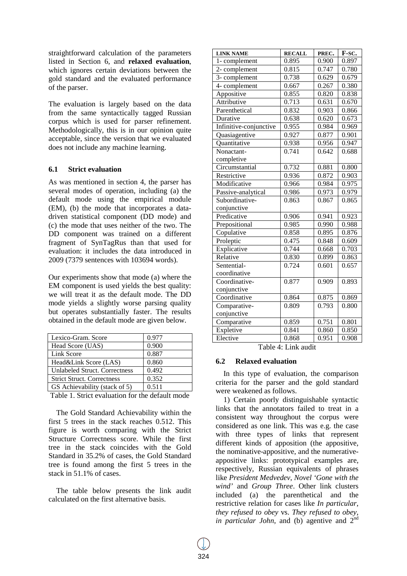straightforward calculation of the parameters listed in Section 6, and **relaxed evaluation**, which ignores certain deviations between the gold standard and the evaluated performance of the parser.

The evaluation is largely based on the data from the same syntactically tagged Russian corpus which is used for parser refinement. Methodologically, this is in our opinion quite acceptable, since the version that we evaluated does not include any machine learning.

#### **6.1 Strict evaluation**

As was mentioned in section 4, the parser has several modes of operation, including (a) the default mode using the empirical module (EM), (b) the mode that incorporates a datadriven statistical component (DD mode) and (c) the mode that uses neither of the two. The DD component was trained on a different fragment of SynTagRus than that used for evaluation: it includes the data introduced in 2009 (7379 sentences with 103694 words).

Our experiments show that mode (a) where the EM component is used yields the best quality: we will treat it as the default mode. The DD mode yields a slightly worse parsing quality but operates substantially faster. The results obtained in the default mode are given below.

| Lexico-Gram. Score                | 0.977 |
|-----------------------------------|-------|
| Head Score (UAS)                  | 0.900 |
| Link Score                        | 0.887 |
| Head&Link Score (LAS)             | 0.860 |
| Unlabeled Struct. Correctness     | 0.492 |
| <b>Strict Struct. Correctness</b> | 0.352 |
| GS Achievability (stack of 5)     | 0.511 |

Table 1. Strict evaluation for the default mode

The Gold Standard Achievability within the first 5 trees in the stack reaches 0.512. This figure is worth comparing with the Strict Structure Correctness score. While the first tree in the stack coincides with the Gold Standard in 35.2% of cases, the Gold Standard tree is found among the first 5 trees in the stack in 51.1% of cases.

The table below presents the link audit calculated on the first alternative basis.

| <b>LINK NAME</b>       | <b>RECALL</b> | PREC. | F-SC. |
|------------------------|---------------|-------|-------|
| 1-complement           | 0.895         | 0.900 | 0.897 |
| 2-complement           | 0.815         | 0.747 | 0.780 |
| 3- complement          | 0.738         | 0.629 | 0.679 |
| 4- complement          | 0.667         | 0.267 | 0.380 |
| Appositive             | 0.855         | 0.820 | 0.838 |
| Attributive            | 0.713         | 0.631 | 0.670 |
| Parenthetical          | 0.832         | 0.903 | 0.866 |
| Durative               | 0.638         | 0.620 | 0.673 |
| Infinitive-conjunctive | 0.955         | 0.984 | 0.969 |
| Quasiagentive          | 0.927         | 0.877 | 0.901 |
| Quantitative           | 0.938         | 0.956 | 0.947 |
| Nonactant-             | 0.741         | 0.642 | 0.688 |
| completive             |               |       |       |
| Circumstantial         | 0.732         | 0.881 | 0.800 |
| Restrictive            | 0.936         | 0.872 | 0.903 |
| Modificative           | 0.966         | 0.984 | 0.975 |
| Passive-analytical     | 0.986         | 0.973 | 0.979 |
| Subordinative-         | 0.863         | 0.867 | 0.865 |
| conjunctive            |               |       |       |
| Predicative            | 0.906         | 0.941 | 0.923 |
| Prepositional          | 0.985         | 0.990 | 0.988 |
| Copulative             | 0.858         | 0.895 | 0.876 |
| Proleptic              | 0.475         | 0.848 | 0.609 |
| Explicative            | 0.744         | 0.668 | 0.703 |
| Relative               | 0.830         | 0.899 | 0.863 |
| Sentential-            | 0.724         | 0.601 | 0.657 |
| coordinative           |               |       |       |
| Coordinative-          | 0.877         | 0.909 | 0.893 |
| conjunctive            |               |       |       |
| Coordinative           | 0.864         | 0.875 | 0.869 |
| Comparative-           | 0.809         | 0.793 | 0.800 |
| conjunctive            |               |       |       |
| Comparative            | 0.859         | 0.751 | 0.801 |
| Expletive              | 0.841         | 0.860 | 0.850 |
| Elective               | 0.868         | 0.951 | 0.908 |

Table 4: Link audit

#### **6.2 Relaxed evaluation**

In this type of evaluation, the comparison criteria for the parser and the gold standard were weakened as follows.

1) Certain poorly distinguishable syntactic links that the annotators failed to treat in a consistent way throughout the corpus were considered as one link. This was e.g. the case with three types of links that represent different kinds of apposition (the appositive, the nominative-appositive, and the numerativeappositive links: prototypical examples are, respectively, Russian equivalents of phrases like *President Medvedev*, *Novel 'Gone with the wind'* and *Group Three*. Other link clusters included (a) the parenthetical and the restrictive relation for cases like *In particular*, *they refused to obey* vs. *They refused to obey, in particular John*, and (b) agentive and 2<sup>nd</sup>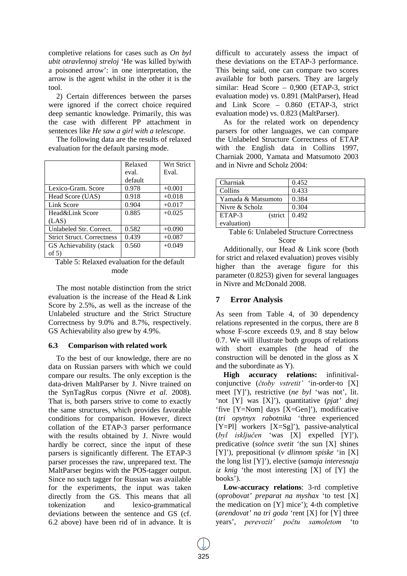completive relations for cases such as *On byl ubit otravlennoj streloj* 'He was killed by/with a poisoned arrow': in one interpretation, the arrow is the agent whilst in the other it is the tool.

2) Certain differences between the parses were ignored if the correct choice required deep semantic knowledge. Primarily, this was the case with different PP attachment in sentences like *He saw a girl with a telescope.*

The following data are the results of relaxed evaluation for the default parsing mode.

|                                   | Relaxed | <b>Wrt Strict</b> |
|-----------------------------------|---------|-------------------|
|                                   | eval.   | Eval.             |
|                                   | default |                   |
| Lexico-Gram, Score                | 0.978   | $+0.001$          |
| Head Score (UAS)                  | 0.918   | $+0.018$          |
| Link Score                        | 0.904   | $+0.017$          |
| Head&Link Score                   | 0.885   | $+0.025$          |
| (LAS)                             |         |                   |
| Unlabeled Str. Correct.           | 0.582   | $+0.090$          |
| <b>Strict Struct. Correctness</b> | 0.439   | $+0.087$          |
| GS Achievability (stack           | 0.560   | $+0.049$          |
| of $5)$                           |         |                   |

Table 5: Relaxed evaluation for the default mode

The most notable distinction from the strict evaluation is the increase of the Head & Link Score by 2.5%, as well as the increase of the Unlabeled structure and the Strict Structure Correctness by 9.0% and 8.7%, respectively. GS Achievability also grew by 4.9%.

## **6.3 Comparison with related work**

To the best of our knowledge, there are no data on Russian parsers with which we could compare our results. The only exception is the data-driven MaltParser by J. Nivre trained on the SynTagRus corpus (Nivre *et al*. 2008). That is, both parsers strive to come to exactly the same structures, which provides favorable conditions for comparison. However, direct collation of the ETAP-3 parser performance with the results obtained by J. Nivre would hardly be correct, since the input of these parsers is significantly different. The ETAP-3 parser processes the raw, unprepared text. The MaltParser begins with the POS-tagger output. Since no such tagger for Russian was available for the experiments, the input was taken directly from the GS. This means that all tokenization and lexico-grammatical deviations between the sentence and GS (cf. 6.2 above) have been rid of in advance. It is

difficult to accurately assess the impact of these deviations on the ETAP-3 performance. This being said, one can compare two scores available for both parsers. They are largely similar: Head Score – 0,900 (ETAP-3, strict evaluation mode) vs. 0.891 (MaltParser), Head and Link Score – 0.860 (ETAP-3, strict evaluation mode) vs. 0.823 (MaltParser).

As for the related work on dependency parsers for other languages, we can compare the Unlabeled Structure Correctness of ETAP with the English data in Collins 1997. Charniak 2000, Yamata and Matsumoto 2003 and in Nivre and Scholz 2004:

| Charniak           | 0.452 |
|--------------------|-------|
| Collins            | 0.433 |
| Yamada & Matsumoto | 0.384 |
| Nivre & Scholz     | 0.304 |
| ETAP-3<br>(strict) | 0.492 |
| evaluation)        |       |

Table 6: Unlabeled Structure Correctness Score

Additionally, our Head & Link score (both for strict and relaxed evaluation) proves visibly higher than the average figure for this parameter (0.8253) given for several languages in Nivre and McDonald 2008.

# **7 Error Analysis**

As seen from Table 4, of 30 dependency relations represented in the corpus, there are 8 whose F-score exceeds 0.9, and 8 stay below 0.7. We will illustrate both groups of relations with short examples (the head of the construction will be denoted in the gloss as X and the subordinate as Y).

**High accuracy relations:** infinitivalconjunctive (*čtoby vstretit'* 'in-order-to [X] meet [Y]'), restrictive (*ne byl* 'was not', lit. 'not [Y] was [X]'), quantitative (*pjat' dnej* 'five [Y=Nom] days [X=Gen]'), modificative (*tri opytnyx rabotnika* 'three experienced [Y=Pl] workers [X=Sg]'), passive-analytical (*byl isključen* 'was [X] expelled [Y]'), predicative (*solnce svetit* 'the sun [X] shines [Y]'), prepositional (*v dlinnom spiske* 'in [X] the long list [Y]'), elective (*samaja interesnaja iz knig* 'the most interesting [X] of [Y] the books').

**Low-accuracy relations**: 3-rd completive (*oprobovat' preparat na myshax* 'to test [X] the medication on [Y] mice'); 4-th completive (*arendovat' na tri goda* 'rent [X] for [Y] three years', *perevozit' počtu samoletom* 'to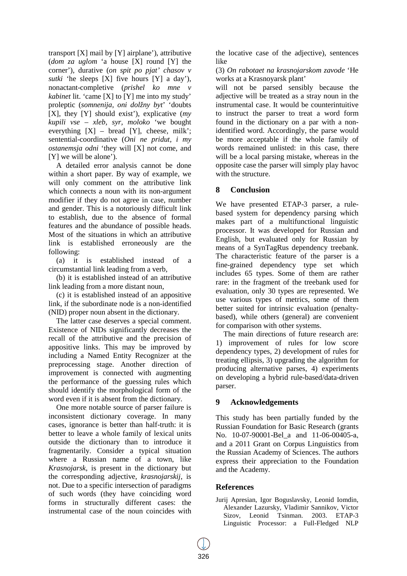transport [X] mail by [Y] airplane'), attributive (*dom za uglom* 'a house [X] round [Y] the corner'), durative (*on spit po pjat' chasov v sutki* 'he sleeps [X] five hours [Y] a day'), nonactant-completive (*prishel ko mne v kabinet lit.* 'came [X] to [Y] me into my study' proleptic (*somnenija, oni dolžny byt*' 'doubts [X], they [Y] should exist'), explicative (*my kupili vse – xleb, syr, moloko* 'we bought everything  $[X]$  – bread  $[Y]$ , cheese, milk'; sentential-coordinative (*Oni ne pridut, i my ostanemsja odni* 'they will [X] not come, and [Y] we will be alone').

A detailed error analysis cannot be done within a short paper. By way of example, we will only comment on the attributive link which connects a noun with its non-argument modifier if they do not agree in case, number and gender. This is a notoriously difficult link to establish, due to the absence of formal features and the abundance of possible heads. Most of the situations in which an attributive link is established erroneously are the following:

(a) it is established instead of a circumstantial link leading from a verb,

(b) it is established instead of an attributive link leading from a more distant noun,

(c) it is established instead of an appositive link, if the subordinate node is a non-identified (NID) proper noun absent in the dictionary.

The latter case deserves a special comment. Existence of NIDs significantly decreases the recall of the attributive and the precision of appositive links. This may be improved by including a Named Entity Recognizer at the preprocessing stage. Another direction of improvement is connected with augmenting the performance of the guessing rules which should identify the morphological form of the word even if it is absent from the dictionary.

One more notable source of parser failure is inconsistent dictionary coverage. In many cases, ignorance is better than half-truth: it is better to leave a whole family of lexical units outside the dictionary than to introduce it fragmentarily. Consider a typical situation where a Russian name of a town, like *Krasnojarsk*, is present in the dictionary but the corresponding adjective, *krasnojarskij,* is not. Due to a specific intersection of paradigms of such words (they have coinciding word forms in structurally different cases: the instrumental case of the noun coincides with the locative case of the adjective), sentences like

(3) *On rabotaet na krasnojarskom zavode* 'He works at a Krasnoyarsk plant'

will not be parsed sensibly because the adjective will be treated as a stray noun in the instrumental case. It would be counterintuitive to instruct the parser to treat a word form found in the dictionary on a par with a nonidentified word. Accordingly, the parse would be more acceptable if the whole family of words remained unlisted: in this case, there will be a local parsing mistake, whereas in the opposite case the parser will simply play havoc with the structure.

## **8 Conclusion**

We have presented ETAP-3 parser, a rulebased system for dependency parsing which makes part of a multifunctional linguistic processor. It was developed for Russian and English, but evaluated only for Russian by means of a SynTagRus dependency treebank. The characteristic feature of the parser is a fine-grained dependency type set which includes 65 types. Some of them are rather rare: in the fragment of the treebank used for evaluation, only 30 types are represented. We use various types of metrics, some of them better suited for intrinsic evaluation (penaltybased), while others (general) are convenient for comparison with other systems.

The main directions of future research are: 1) improvement of rules for low score dependency types, 2) development of rules for treating ellipsis, 3) upgrading the algorithm for producing alternative parses, 4) experiments on developing a hybrid rule-based/data-driven parser.

# **9 Acknowledgements**

This study has been partially funded by the Russian Foundation for Basic Research (grants No. 10-07-90001-Bel\_a and 11-06-00405-а, and a 2011 Grant on Corpus Linguistics from the Russian Academy of Sciences. The authors express their appreciation to the Foundation and the Academy.

## **References**

Jurij Apresian, Igor Boguslavsky, Leonid Iomdin, Alexander Lazursky, Vladimir Sannikov, Victor Sizov, Leonid Tsinman. 2003. ETAP-3 Linguistic Processor: a Full-Fledged NLP